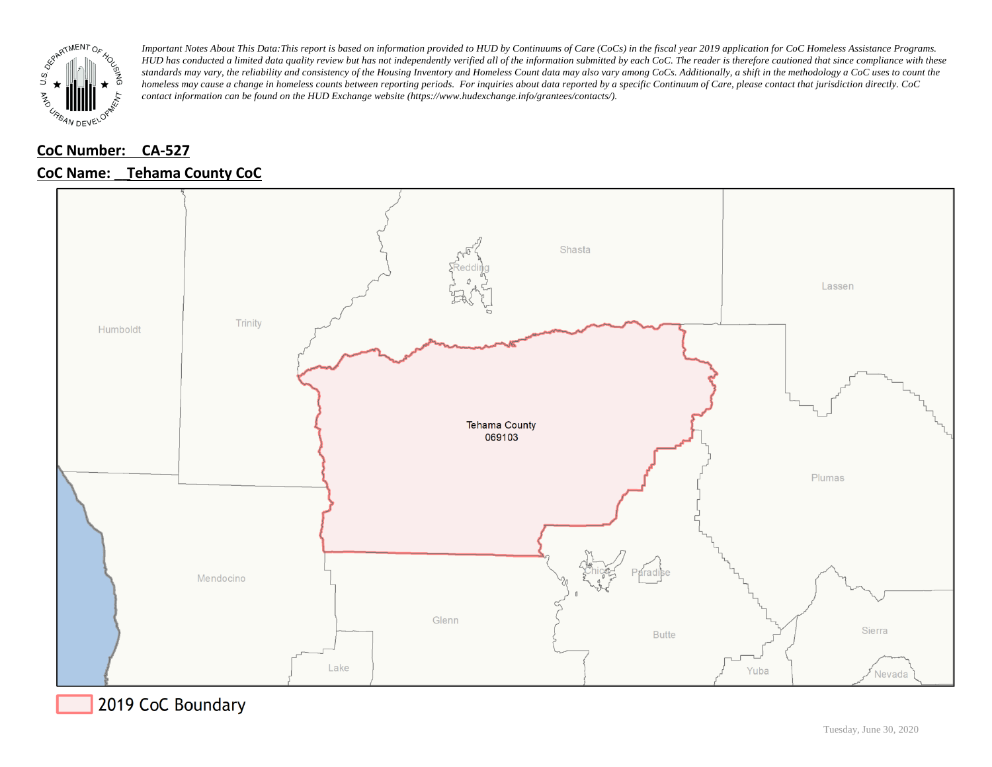

# **CoC Number: CA-527**

# **CoC Name: \_\_ Tehama County CoC**



2019 CoC Boundary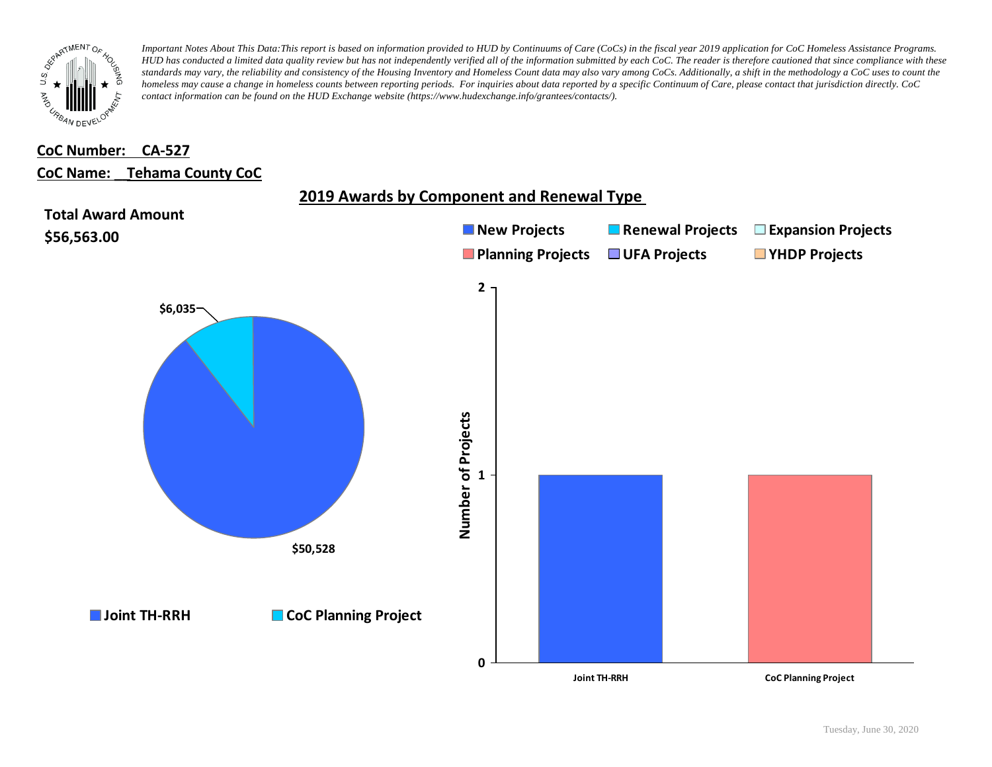

# **CoC Number: CA-527**

### **CoC Name: \_\_ Tehama County CoC**

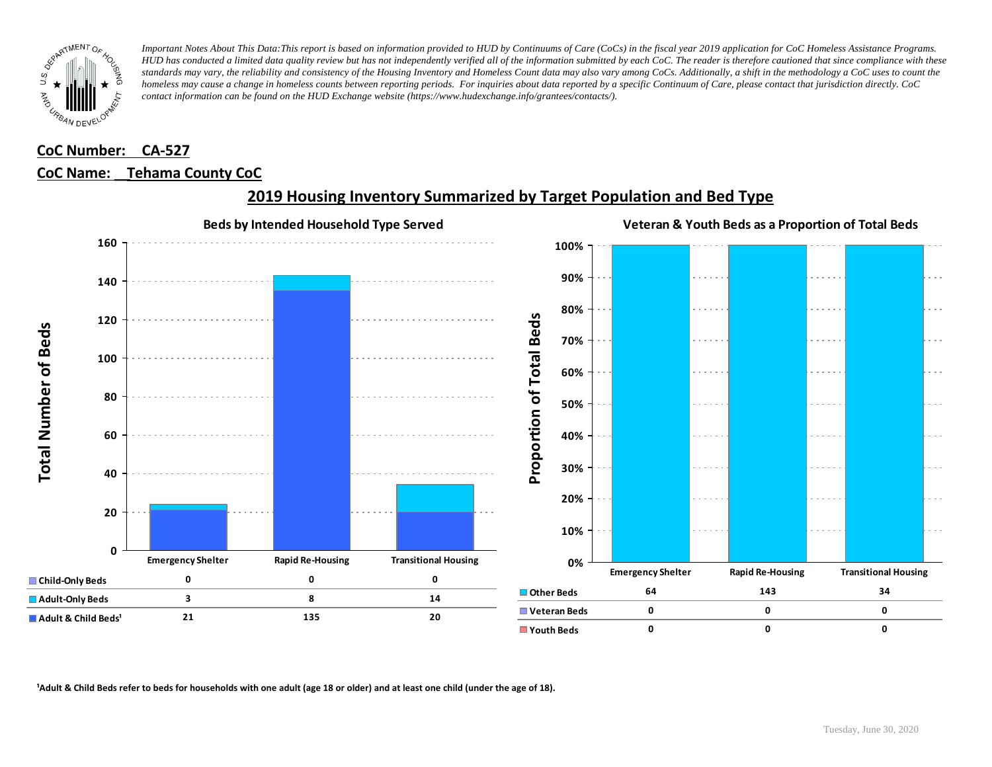

## **CoC Number: CA-527 CoC Name: \_\_ Tehama County CoC**



# **2019 Housing Inventory Summarized by Target Population and Bed Type**

<sup>1</sup> Adult & Child Beds refer to beds for households with one adult (age 18 or older) and at least one child (under the age of 18).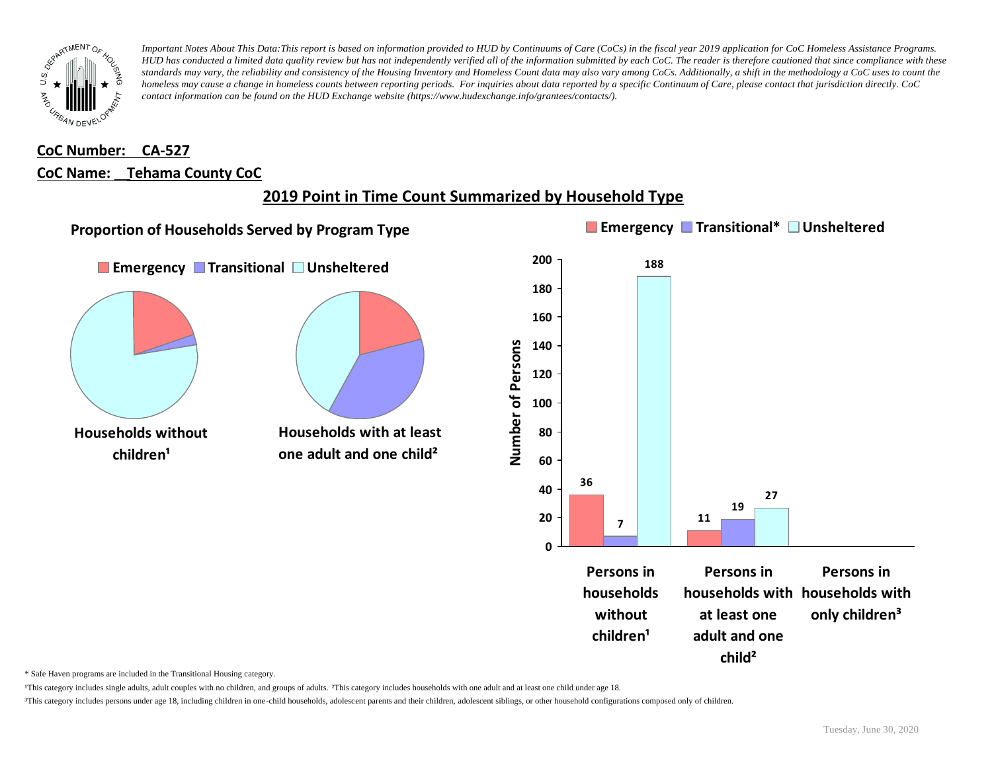

# **CoC Number: CA-527 CoC Name: \_\_ Tehama County CoC**

# **2019 Point in Time Count Summarized by Household Type**



\* Safe Haven programs are included in the Transitional Housing category.

¹This category includes single adults, adult couples with no children, and groups of adults. ²This category includes households with one adult and at least one child under age 18.

³This category includes persons under age 18, including children in one-child households, adolescent parents and their children, adolescent siblings, or other household configurations composed only of children.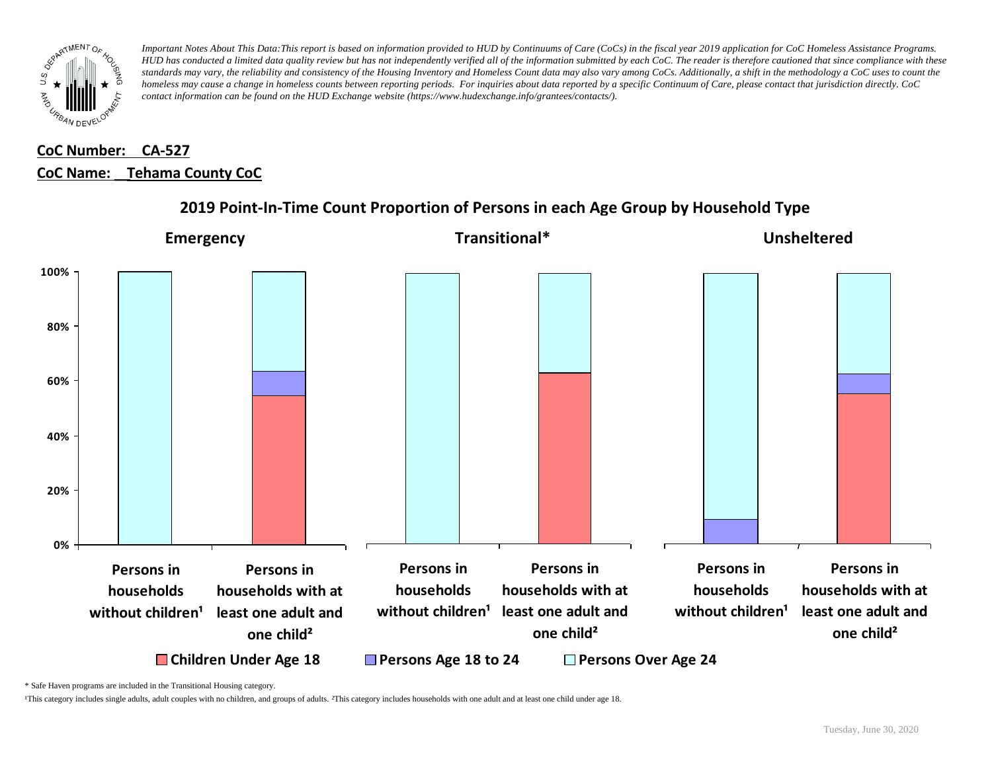

# **CoC Number: CA-527 CoC Name: \_\_ Tehama County CoC**



### **2019 Point-In-Time Count Proportion of Persons in each Age Group by Household Type**

\* Safe Haven programs are included in the Transitional Housing category.

¹This category includes single adults, adult couples with no children, and groups of adults. ²This category includes households with one adult and at least one child under age 18.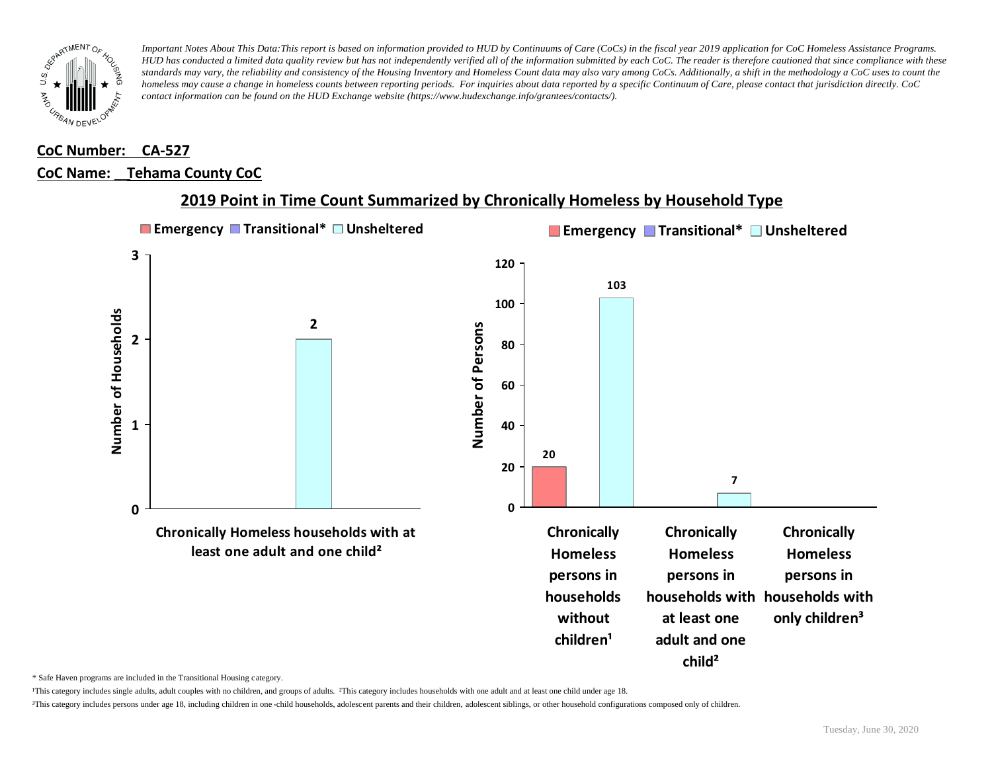

#### **CoC Number: CA-527**

#### **CoC Name: \_\_ Tehama County CoC**



#### **2019 Point in Time Count Summarized by Chronically Homeless by Household Type**

\* Safe Haven programs are included in the Transitional Housing category.

¹This category includes single adults, adult couples with no children, and groups of adults. ²This category includes households with one adult and at least one child under age 18.

³This category includes persons under age 18, including children in one -child households, adolescent parents and their children, adolescent siblings, or other household configurations composed only of children.